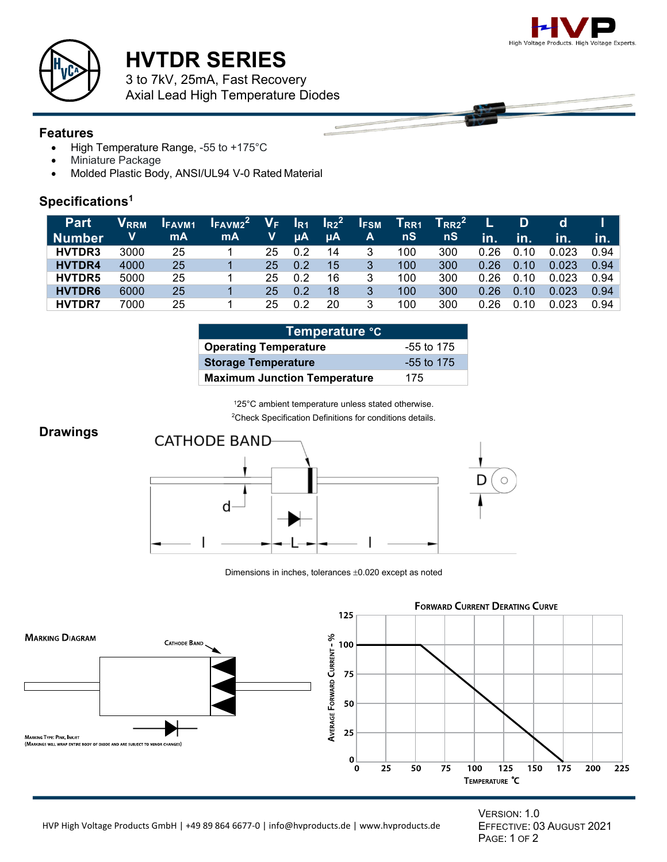



# **HVTDR SERIES**

3 to 7kV, 25mA, Fast Recovery Axial Lead High Temperature Diodes

#### **Features**

- High Temperature Range, -55 to +175°C
- Miniature Package
- Molded Plastic Body, ANSI/UL94 V-0 Rated Material

### **Specifications1**

| <b>Part</b>   | V <sub>rrm</sub> | <b>IFAVM1</b> | $I_{FAV M2}^2$ | $V_{F}$ | $I_{R1}$   | $I_{R2}^2$ | <b>IFSM</b> | <b>TRR1</b> | $T_{RR2}^2$ |                            | D    | d     |      |
|---------------|------------------|---------------|----------------|---------|------------|------------|-------------|-------------|-------------|----------------------------|------|-------|------|
| Number        | v                | mA            | mA             | V       | <b>LUA</b> | $\mu$ A    | A           | nS          | nS          | $\overline{\mathsf{in}}$ . | .in. | in.   | in.  |
| <b>HVTDR3</b> | 3000             | 25            |                | 25      | 0.2        | 14         | 3           | 100         | 300         | 0.26                       | 0.10 | 0.023 | 0.94 |
| <b>HVTDR4</b> | 4000             | 25            |                | 25      | 0.2        | 15         | 3           | 100         | 300         | 0.26                       | 0.10 | 0.023 | 0.94 |
| HVTDR5        | 5000             | 25            |                | 25      | 0.2        | 16         | 3           | 100         | 300         | 0.26                       | 0.10 | 0.023 | 0.94 |
| <b>HVTDR6</b> | 6000             | 25            |                | 25      | 0.2        | 18         | 3           | 100         | 300         | 0.26                       | 0.10 | 0.023 | 0.94 |
| <b>HVTDR7</b> | 7000             | 25            |                | 25      | 0 2        | 20         | 3           | 100         | 300         | 0.26                       | 0.10 | 0.023 | 0.94 |

| ∣Temperatur <u>e °C</u>             |              |  |  |  |  |
|-------------------------------------|--------------|--|--|--|--|
| <b>Operating Temperature</b>        | -55 to 175   |  |  |  |  |
| <b>Storage Temperature</b>          | $-55$ to 175 |  |  |  |  |
| <b>Maximum Junction Temperature</b> | 175          |  |  |  |  |

125°C ambient temperature unless stated otherwise.

<sup>2</sup> Check Specification Definitions for conditions details.

# **Drawings**



Dimensions in inches, tolerances ±0.020 except as noted



VERSION: 1.0 EFFECTIVE: 03 AUGUST 2021 PAGE: 1 OF 2